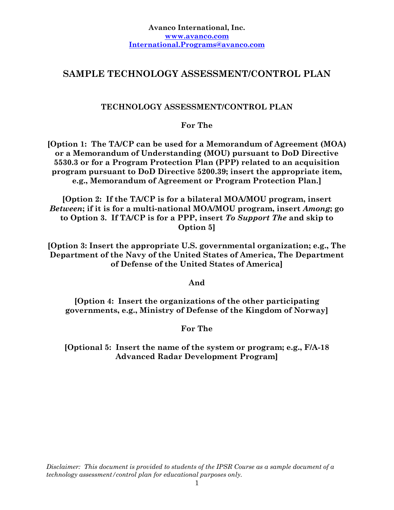# **SAMPLE TECHNOLOGY ASSESSMENT/CONTROL PLAN**

## **TECHNOLOGY ASSESSMENT/CONTROL PLAN**

**For The** 

**[Option 1: The TA/CP can be used for a Memorandum of Agreement (MOA) or a Memorandum of Understanding (MOU) pursuant to DoD Directive 5530.3 or for a Program Protection Plan (PPP) related to an acquisition program pursuant to DoD Directive 5200.39; insert the appropriate item, e.g., Memorandum of Agreement or Program Protection Plan.]** 

**[Option 2: If the TA/CP is for a bilateral MOA/MOU program, insert**  *Between***; if it is for a multi-national MOA/MOU program, insert** *Among***; go to Option 3. If TA/CP is for a PPP, insert** *To Support The* **and skip to Option 5]** 

**[Option 3: Insert the appropriate U.S. governmental organization; e.g., The Department of the Navy of the United States of America, The Department of Defense of the United States of America]** 

**And** 

**[Option 4: Insert the organizations of the other participating governments, e.g., Ministry of Defense of the Kingdom of Norway]** 

**For The** 

**[Optional 5: Insert the name of the system or program; e.g., F/A-18 Advanced Radar Development Program]**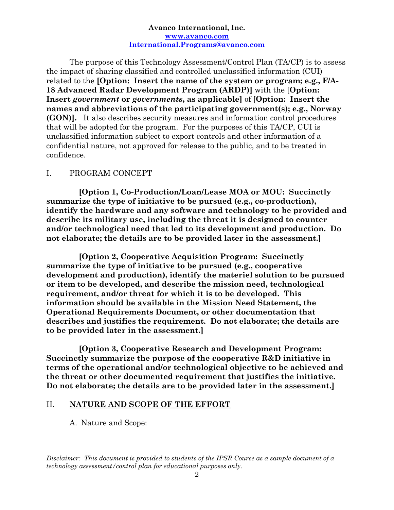The purpose of this Technology Assessment/Control Plan (TA/CP) is to assess the impact of sharing classified and controlled unclassified information (CUI) related to the **[Option: Insert the name of the system or program; e.g., F/A-18 Advanced Radar Development Program (ARDP)]** with the [**Option: Insert** *government* **or** *governments***, as applicable]** of [**Option: Insert the names and abbreviations of the participating government(s); e.g., Norway (GON)].** It also describes security measures and information control procedures that will be adopted for the program. For the purposes of this TA/CP, CUI is unclassified information subject to export controls and other information of a confidential nature, not approved for release to the public, and to be treated in confidence.

## I. PROGRAM CONCEPT

**[Option 1, Co-Production/Loan/Lease MOA or MOU: Succinctly summarize the type of initiative to be pursued (e.g., co-production), identify the hardware and any software and technology to be provided and describe its military use, including the threat it is designed to counter and/or technological need that led to its development and production. Do not elaborate; the details are to be provided later in the assessment.]** 

**[Option 2, Cooperative Acquisition Program: Succinctly summarize the type of initiative to be pursued (e.g., cooperative development and production), identify the materiel solution to be pursued or item to be developed, and describe the mission need, technological requirement, and/or threat for which it is to be developed. This information should be available in the Mission Need Statement, the Operational Requirements Document, or other documentation that describes and justifies the requirement. Do not elaborate; the details are to be provided later in the assessment.]** 

**[Option 3, Cooperative Research and Development Program: Succinctly summarize the purpose of the cooperative R&D initiative in terms of the operational and/or technological objective to be achieved and the threat or other documented requirement that justifies the initiative. Do not elaborate; the details are to be provided later in the assessment.]** 

### II. **NATURE AND SCOPE OF THE EFFORT**

A. Nature and Scope: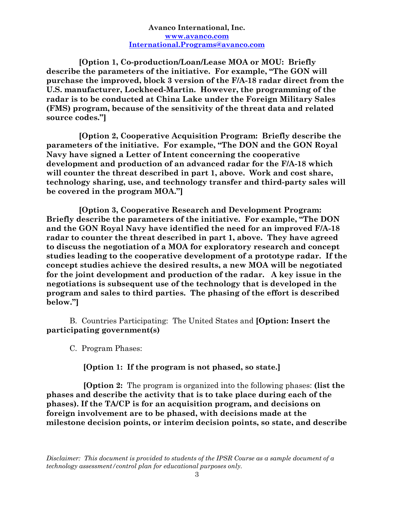**[Option 1, Co-production/Loan/Lease MOA or MOU: Briefly describe the parameters of the initiative. For example, "The GON will purchase the improved, block 3 version of the F/A-18 radar direct from the U.S. manufacturer, Lockheed-Martin. However, the programming of the radar is to be conducted at China Lake under the Foreign Military Sales (FMS) program, because of the sensitivity of the threat data and related source codes."]** 

**[Option 2, Cooperative Acquisition Program: Briefly describe the parameters of the initiative. For example, "The DON and the GON Royal Navy have signed a Letter of Intent concerning the cooperative development and production of an advanced radar for the F/A-18 which will counter the threat described in part 1, above. Work and cost share, technology sharing, use, and technology transfer and third-party sales will be covered in the program MOA."]** 

**[Option 3, Cooperative Research and Development Program: Briefly describe the parameters of the initiative. For example, "The DON and the GON Royal Navy have identified the need for an improved F/A-18 radar to counter the threat described in part 1, above. They have agreed to discuss the negotiation of a MOA for exploratory research and concept studies leading to the cooperative development of a prototype radar. If the concept studies achieve the desired results, a new MOA will be negotiated for the joint development and production of the radar. A key issue in the negotiations is subsequent use of the technology that is developed in the program and sales to third parties. The phasing of the effort is described below."]** 

B. Countries Participating: The United States and **[Option: Insert the participating government(s)** 

C.Program Phases:

#### **[Option 1: If the program is not phased, so state.]**

 **[Option 2:** The program is organized into the following phases: **(list the phases and describe the activity that is to take place during each of the phases). If the TA/CP is for an acquisition program, and decisions on foreign involvement are to be phased, with decisions made at the milestone decision points, or interim decision points, so state, and describe**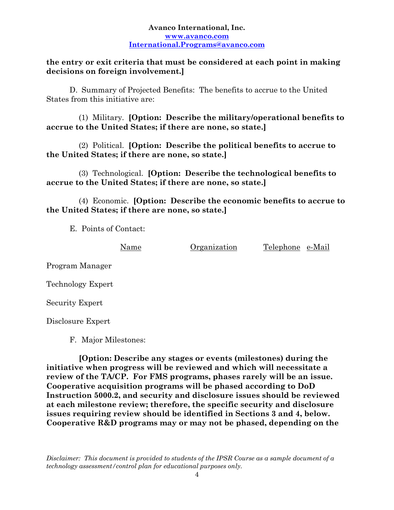### **the entry or exit criteria that must be considered at each point in making decisions on foreign involvement.]**

D. Summary of Projected Benefits:The benefits to accrue to the United States from this initiative are:

(1) Military. **[Option: Describe the military/operational benefits to accrue to the United States; if there are none, so state.]** 

(2) Political. **[Option: Describe the political benefits to accrue to the United States; if there are none, so state.]** 

(3) Technological. **[Option: Describe the technological benefits to accrue to the United States; if there are none, so state.]** 

(4) Economic. **[Option: Describe the economic benefits to accrue to the United States; if there are none, so state.]** 

E. Points of Contact:

Name Organization Telephone e-Mail

Program Manager

Technology Expert

Security Expert

Disclosure Expert

F. Major Milestones:

**[Option: Describe any stages or events (milestones) during the initiative when progress will be reviewed and which will necessitate a review of the TA/CP. For FMS programs, phases rarely will be an issue. Cooperative acquisition programs will be phased according to DoD Instruction 5000.2, and security and disclosure issues should be reviewed at each milestone review; therefore, the specific security and disclosure issues requiring review should be identified in Sections 3 and 4, below. Cooperative R&D programs may or may not be phased, depending on the**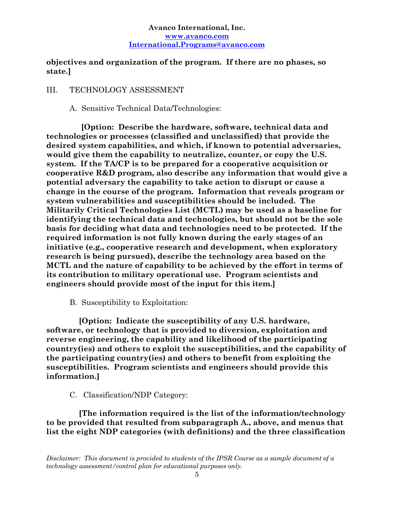## **objectives and organization of the program. If there are no phases, so state.]**

## III. TECHNOLOGY ASSESSMENT

## A. Sensitive Technical Data/Technologies:

**[Option: Describe the hardware, software, technical data and technologies or processes (classified and unclassified) that provide the desired system capabilities, and which, if known to potential adversaries, would give them the capability to neutralize, counter, or copy the U.S. system. If the TA/CP is to be prepared for a cooperative acquisition or cooperative R&D program, also describe any information that would give a potential adversary the capability to take action to disrupt or cause a change in the course of the program. Information that reveals program or system vulnerabilities and susceptibilities should be included. The Militarily Critical Technologies List (MCTL) may be used as a baseline for identifying the technical data and technologies, but should not be the sole basis for deciding what data and technologies need to be protected. If the required information is not fully known during the early stages of an initiative (e.g., cooperative research and development, when exploratory research is being pursued), describe the technology area based on the MCTL and the nature of capability to be achieved by the effort in terms of its contribution to military operational use. Program scientists and engineers should provide most of the input for this item.]** 

B. Susceptibility to Exploitation:

**[Option: Indicate the susceptibility of any U.S. hardware, software, or technology that is provided to diversion, exploitation and reverse engineering, the capability and likelihood of the participating country(ies) and others to exploit the susceptibilities, and the capability of the participating country(ies) and others to benefit from exploiting the susceptibilities. Program scientists and engineers should provide this information.]** 

C. Classification/NDP Category:

**[The information required is the list of the information/technology to be provided that resulted from subparagraph A., above, and menus that list the eight NDP categories (with definitions) and the three classification**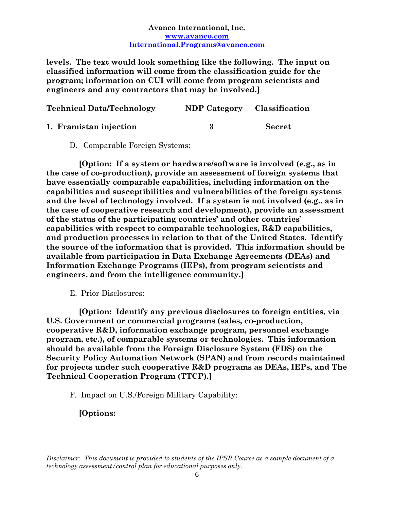**levels. The text would look something like the following. The input on classified information will come from the classification guide for the program; information on CUI will come from program scientists and engineers and any contractors that may be involved.]** 

| <b>Technical Data/Technology</b> | NDP Category Classification |               |
|----------------------------------|-----------------------------|---------------|
| 1. Framistan injection           |                             | <b>Secret</b> |

D. Comparable Foreign Systems:

**[Option: If a system or hardware/software is involved (e.g., as in the case of co-production), provide an assessment of foreign systems that have essentially comparable capabilities, including information on the capabilities and susceptibilities and vulnerabilities of the foreign systems and the level of technology involved. If a system is not involved (e.g., as in the case of cooperative research and development), provide an assessment of the status of the participating countries' and other countries' capabilities with respect to comparable technologies, R&D capabilities, and production processes in relation to that of the United States. Identify the source of the information that is provided. This information should be available from participation in Data Exchange Agreements (DEAs) and Information Exchange Programs (IEPs), from program scientists and engineers, and from the intelligence community.]** 

E. Prior Disclosures:

**[Option: Identify any previous disclosures to foreign entities, via U.S. Government or commercial programs (sales, co-production, cooperative R&D, information exchange program, personnel exchange program, etc.), of comparable systems or technologies. This information should be available from the Foreign Disclosure System (FDS) on the Security Policy Automation Network (SPAN) and from records maintained for projects under such cooperative R&D programs as DEAs, IEPs, and The Technical Cooperation Program (TTCP).]** 

F. Impact on U.S./Foreign Military Capability:

**[Options:**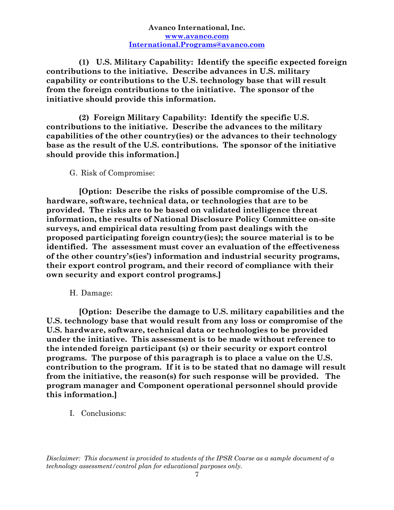**(1) U.S. Military Capability: Identify the specific expected foreign contributions to the initiative. Describe advances in U.S. military capability or contributions to the U.S. technology base that will result from the foreign contributions to the initiative. The sponsor of the initiative should provide this information.** 

**(2) Foreign Military Capability: Identify the specific U.S. contributions to the initiative. Describe the advances to the military capabilities of the other country(ies) or the advances to their technology base as the result of the U.S. contributions. The sponsor of the initiative should provide this information.]** 

G. Risk of Compromise:

**[Option: Describe the risks of possible compromise of the U.S. hardware, software, technical data, or technologies that are to be provided. The risks are to be based on validated intelligence threat information, the results of National Disclosure Policy Committee on-site surveys, and empirical data resulting from past dealings with the proposed participating foreign country(ies); the source material is to be identified. The assessment must cover an evaluation of the effectiveness of the other country's(ies') information and industrial security programs, their export control program, and their record of compliance with their own security and export control programs.]** 

H. Damage:

**[Option: Describe the damage to U.S. military capabilities and the U.S. technology base that would result from any loss or compromise of the U.S. hardware, software, technical data or technologies to be provided under the initiative. This assessment is to be made without reference to the intended foreign participant (s) or their security or export control programs. The purpose of this paragraph is to place a value on the U.S. contribution to the program. If it is to be stated that no damage will result from the initiative, the reason(s) for such response will be provided. The program manager and Component operational personnel should provide this information.]** 

I. Conclusions: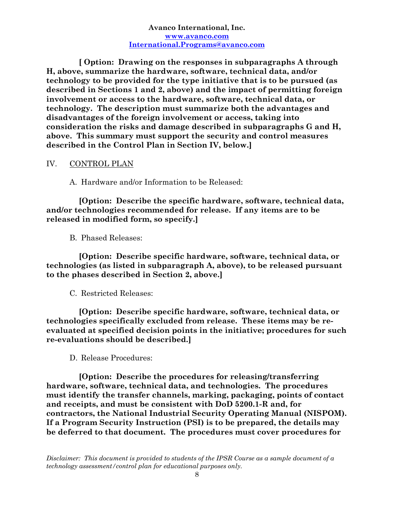**[ Option: Drawing on the responses in subparagraphs A through H, above, summarize the hardware, software, technical data, and/or technology to be provided for the type initiative that is to be pursued (as described in Sections 1 and 2, above) and the impact of permitting foreign involvement or access to the hardware, software, technical data, or technology. The description must summarize both the advantages and disadvantages of the foreign involvement or access, taking into consideration the risks and damage described in subparagraphs G and H, above. This summary must support the security and control measures described in the Control Plan in Section IV, below.]** 

#### IV. CONTROL PLAN

A. Hardware and/or Information to be Released:

**[Option: Describe the specific hardware, software, technical data, and/or technologies recommended for release. If any items are to be released in modified form, so specify.]** 

B. Phased Releases:

**[Option: Describe specific hardware, software, technical data, or technologies (as listed in subparagraph A, above), to be released pursuant to the phases described in Section 2, above.]** 

C. Restricted Releases:

**[Option: Describe specific hardware, software, technical data, or technologies specifically excluded from release. These items may be reevaluated at specified decision points in the initiative; procedures for such re-evaluations should be described.]** 

D. Release Procedures:

**[Option: Describe the procedures for releasing/transferring hardware, software, technical data, and technologies. The procedures must identify the transfer channels, marking, packaging, points of contact and receipts, and must be consistent with DoD 5200.1-R and, for contractors, the National Industrial Security Operating Manual (NISPOM). If a Program Security Instruction (PSI) is to be prepared, the details may be deferred to that document. The procedures must cover procedures for**